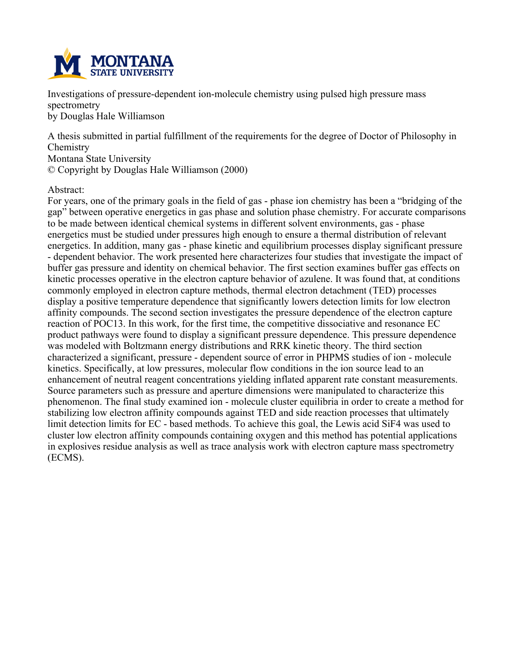

**Investigations of pressure-dependent ion-molecule chemistry using pulsed high pressure mass spectrometry by Douglas Hale Williamson**

**A thesis submitted in partial fulfillment of the requirements for the degree of Doctor of Philosophy in Chemistry Montana State University**

**© Copyright by Douglas Hale Williamson (2000)**

### **Abstract:**

For years, one of the primary goals in the field of gas - phase ion chemistry has been a "bridging of the **gap" between operative energetics in gas phase and solution phase chemistry. For accurate comparisons to be made between identical chemical systems in different solvent environments, gas - phase energetics must be studied under pressures high enough to ensure a thermal distribution of relevant energetics. In addition, many gas - phase kinetic and equilibrium processes display significant pressure - dependent behavior. The work presented here characterizes four studies that investigate the impact of buffer gas pressure and identity on chemical behavior. The first section examines buffer gas effects on kinetic processes operative in the electron capture behavior of azulene. It was found that, at conditions commonly employed in electron capture methods, thermal electron detachment (TED) processes display a positive temperature dependence that significantly lowers detection limits for low electron affinity compounds. The second section investigates the pressure dependence of the electron capture reaction of POC13. In this work, for the first time, the competitive dissociative and resonance EC product pathways were found to display a significant pressure dependence. This pressure dependence was modeled with Boltzmann energy distributions and RRK kinetic theory. The third section characterized a significant, pressure - dependent source of error in PHPMS studies of ion - molecule kinetics. Specifically, at low pressures, molecular flow conditions in the ion source lead to an enhancement of neutral reagent concentrations yielding inflated apparent rate constant measurements. Source parameters such as pressure and aperture dimensions were manipulated to characterize this phenomenon. The final study examined ion - molecule cluster equilibria in order to create a method for stabilizing low electron affinity compounds against TED and side reaction processes that ultimately** limit detection limits for EC - based methods. To achieve this goal, the Lewis acid SiF4 was used to **cluster low electron affinity compounds containing oxygen and this method has potential applications in explosives residue analysis as well as trace analysis work with electron capture mass spectrometry (ECMS).**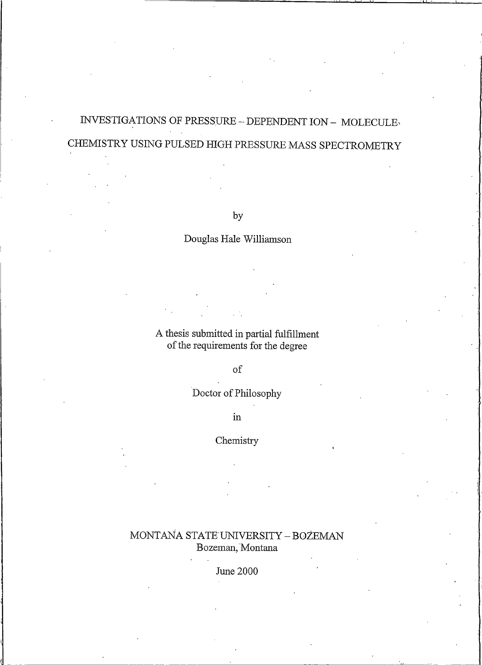# INVESTIGATIONS OF PRESSURE - DEPENDENT ION - MOLECULE CHEMISTRY USING PULSED HIGH PRESSURE MASS SPECTROMETRY

by

## Douglas Hale Williamson

A thesis submitted in partial fulfillment of the requirements for the degree

### $\sigma$

## Doctor of Philosophy

 $\operatorname{in}$ 

## Chemistry

## MONTANA STATE UNIVERSITY - BOZEMAN Bozeman, Montana

**June 2000**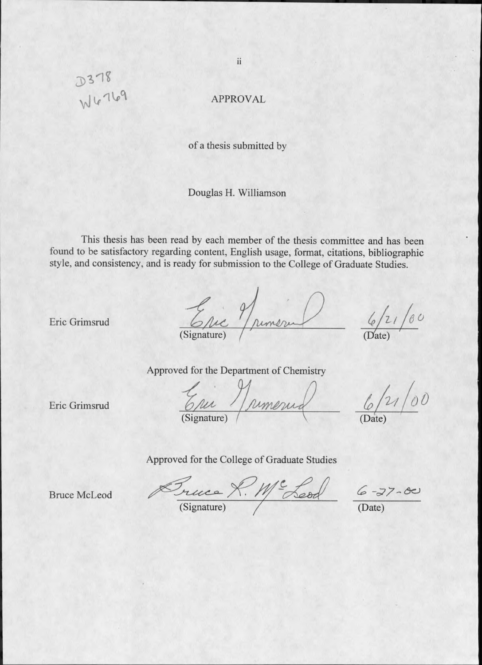**APPROVAL** 

of a thesis submitted by

Douglas H. Williamson

This thesis has been read by each member of the thesis committee and has been found to be satisfactory regarding content, English usage, format, citations, bibliographic style, and consistency, and is ready for submission to the College of Graduate Studies.

Eric Numeru

 $6/21/80$ 

Approved for the Department of Chemistry

Eric Numerud

 $6/21/00$ 

Approved for the College of Graduate Studies

**Bruce McLeod** 

Eric Grimsrud

Eric Grimsrud

Succe R. Me Leod 6-27-00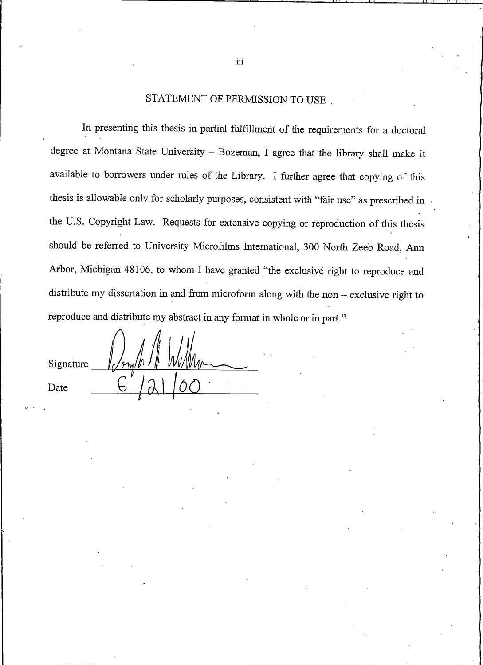### STATEMENT OF PERMISSION TO USE

In presenting this thesis in partial fulfillment of the requirements for a doctoral degree at Montana State University - Bozeman, I agree that the library shall make it available to borrowers under rules of the Library. I further agree that copying of this thesis is allowable only for scholarly purposes, consistent with "fair use" as prescribed in the U.S. Copyright Law. Requests for extensive copying or reproduction of this thesis should be referred to University Microfilms International, 300 North Zeeb Road, Ann Arbor, Michigan 48106, to whom I have granted "the exclusive right to reproduce and distribute my dissertation in and from microform along with the non - exclusive right to reproduce and distribute my abstract in any format in whole or in part."

Signature Date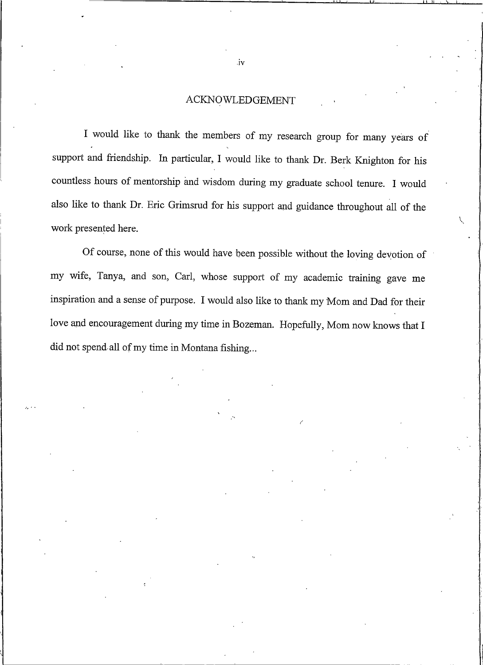#### **ACKNOWLEDGEMENT**

I would like to thank the members of my research group for many years of support and friendship. In particular, I would like to thank Dr. Berk Knighton for his countless hours of mentorship and wisdom during my graduate school tenure. I would also like to thank Dr. Eric Grimsrud for his support and guidance throughout all of the work presented here.

Of course, none of this would have been possible without the loving devotion of my wife, Tanya, and son, Carl, whose support of my academic training gave me inspiration and a sense of purpose. I would also like to thank my Mom and Dad for their love and encouragement during my time in Bozeman. Hopefully, Mom now knows that I did not spend all of my time in Montana fishing...

.iv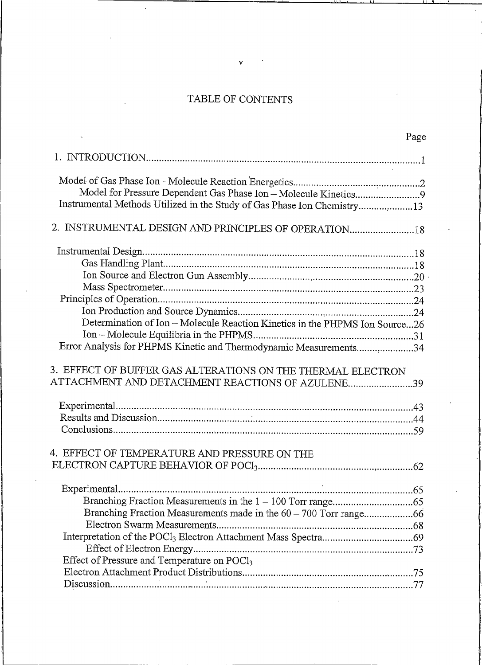# TABLE OF CONTENTS

|                                                                             | Page |
|-----------------------------------------------------------------------------|------|
|                                                                             |      |
|                                                                             |      |
|                                                                             |      |
| Model for Pressure Dependent Gas Phase Ion - Molecule Kinetics9             |      |
| Instrumental Methods Utilized in the Study of Gas Phase Ion Chemistry13     |      |
| 2. INSTRUMENTAL DESIGN AND PRINCIPLES OF OPERATION18                        |      |
|                                                                             |      |
|                                                                             |      |
|                                                                             |      |
|                                                                             |      |
|                                                                             |      |
|                                                                             |      |
| Determination of Ion - Molecule Reaction Kinetics in the PHPMS Ion Source26 |      |
|                                                                             |      |
| Error Analysis for PHPMS Kinetic and Thermodynamic Measurements34           |      |
| 3. EFFECT OF BUFFER GAS ALTERATIONS ON THE THERMAL ELECTRON                 |      |
| ATTACHMENT AND DETACHMENT REACTIONS OF AZULENE39                            |      |
|                                                                             |      |
|                                                                             |      |
|                                                                             |      |
|                                                                             |      |
| 4. EFFECT OF TEMPERATURE AND PRESSURE ON THE                                |      |
|                                                                             |      |
|                                                                             |      |
|                                                                             |      |
|                                                                             |      |
|                                                                             |      |
|                                                                             |      |
|                                                                             |      |
| Effect of Pressure and Temperature on POCl <sub>3</sub>                     |      |
|                                                                             |      |
|                                                                             | .77  |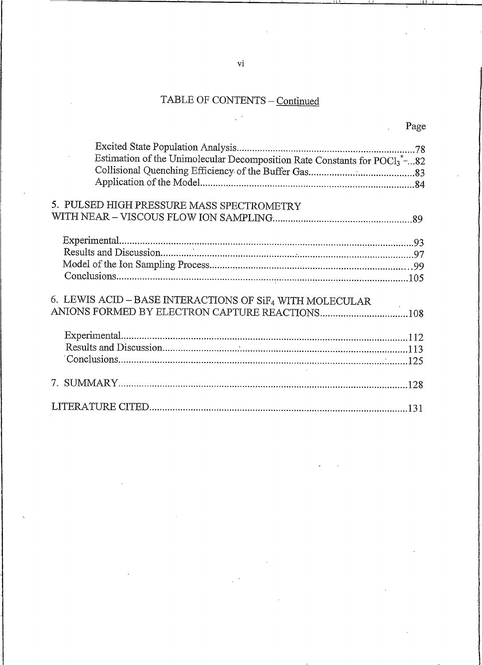# TABLE OF CONTENTS - Continued

| Page |
|------|
|      |
|      |

Page

| Estimation of the Unimolecular Decomposition Rate Constants for $POCI3*82$<br>5. PULSED HIGH PRESSURE MASS SPECTROMETRY<br>6. LEWIS ACID - BASE INTERACTIONS OF SiF4 WITH MOLECULAR |
|-------------------------------------------------------------------------------------------------------------------------------------------------------------------------------------|

 $\overline{vi}$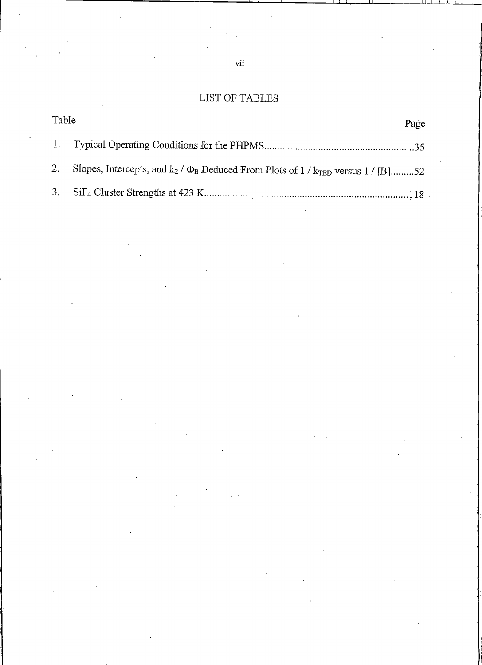## LIST OF TABLES

| Table |                                                                                                         | Page |
|-------|---------------------------------------------------------------------------------------------------------|------|
|       |                                                                                                         |      |
|       | 2. Slopes, Intercepts, and $k_2$ / $\Phi_B$ Deduced From Plots of 1 / $k_{\text{TED}}$ versus 1 / [B]52 |      |
|       |                                                                                                         |      |

 $_{\rm{vii}}$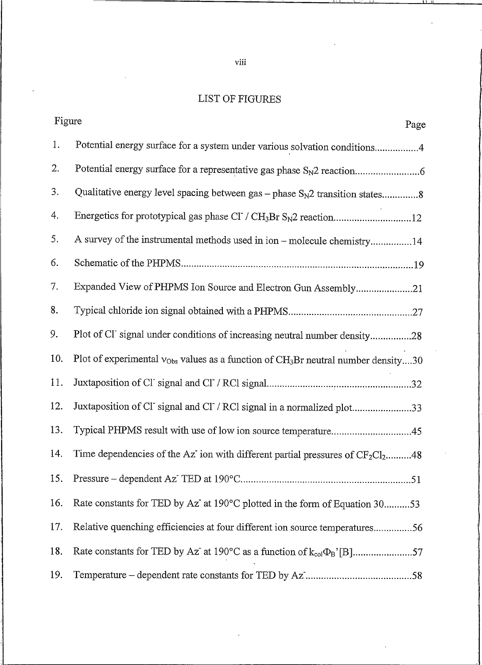## LIST OF FIGURES

| Figure<br>Page                                                                                     |     |
|----------------------------------------------------------------------------------------------------|-----|
| Potential energy surface for a system under various solvation conditions4                          | 1.  |
|                                                                                                    | 2.  |
| Qualitative energy level spacing between gas $-$ phase $S_N2$ transition states8                   | 3.  |
|                                                                                                    | 4.  |
| A survey of the instrumental methods used in ion - molecule chemistry14                            | 5.  |
|                                                                                                    | 6.  |
| Expanded View of PHPMS Ion Source and Electron Gun Assembly21                                      | 7.  |
|                                                                                                    | 8.  |
| Plot of Cl signal under conditions of increasing neutral number density28                          | 9.  |
| Plot of experimental $v_{Obs}$ values as a function of CH <sub>3</sub> Br neutral number density30 | 10. |
|                                                                                                    | 11. |
| Juxtaposition of Cl signal and Cl / RCl signal in a normalized plot33                              | 12. |
| Typical PHPMS result with use of low ion source temperature45                                      | 13. |
| Time dependencies of the Az ion with different partial pressures of $CF_2Cl_2$ 48                  | 14. |
|                                                                                                    | 15. |
| Rate constants for TED by Az at 190°C plotted in the form of Equation 3053                         | 16. |
| Relative quenching efficiencies at four different ion source temperatures56                        | 17. |
| Rate constants for TED by Az at 190°C as a function of $k_{col}\Phi_B$ <sup>'</sup> [B]57          | 18. |
|                                                                                                    | 19. |

 $viii$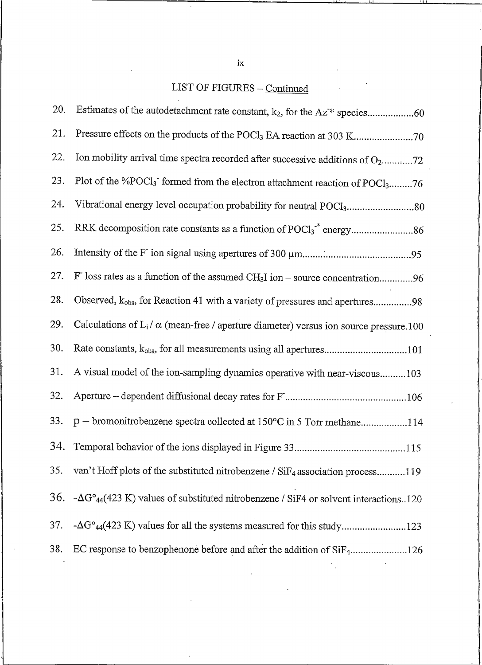# LIST OF FIGURES - Continued

 $\mathcal{L}$ 

| 20. |                                                                                                              |
|-----|--------------------------------------------------------------------------------------------------------------|
| 21. |                                                                                                              |
| 22. | Ion mobility arrival time spectra recorded after successive additions of $O_2$ 72                            |
| 23. | Plot of the %POCl <sub>3</sub> formed from the electron attachment reaction of POCl <sub>3</sub> 76          |
| 24. | Vibrational energy level occupation probability for neutral POCl <sub>3</sub> 80                             |
| 25. |                                                                                                              |
| 26. |                                                                                                              |
| 27. | $F$ loss rates as a function of the assumed CH <sub>3</sub> I ion – source concentration96                   |
| 28. | Observed, k <sub>obs</sub> , for Reaction 41 with a variety of pressures and apertures98                     |
| 29. | Calculations of $L_i / \alpha$ (mean-free / aperture diameter) versus ion source pressure.100                |
| 30. | Rate constants, k <sub>obs</sub> , for all measurements using all apertures101                               |
| 31. | A visual model of the ion-sampling dynamics operative with near-viscous103                                   |
| 32. |                                                                                                              |
| 33. | p - bromonitrobenzene spectra collected at 150°C in 5 Torr methane114                                        |
| 34. |                                                                                                              |
| 35. | van't Hoff plots of the substituted nitrobenzene / $\text{SiF}_4$ association process119                     |
| 36. | $-\Delta G^{\circ}_{44}(423 \text{ K})$ values of substituted nitrobenzene / SiF4 or solvent interactions120 |
| 37. |                                                                                                              |
| 38. | EC response to benzophenone before and after the addition of SiF4126                                         |

 $\ensuremath{\text{i}} \mathbf{x}$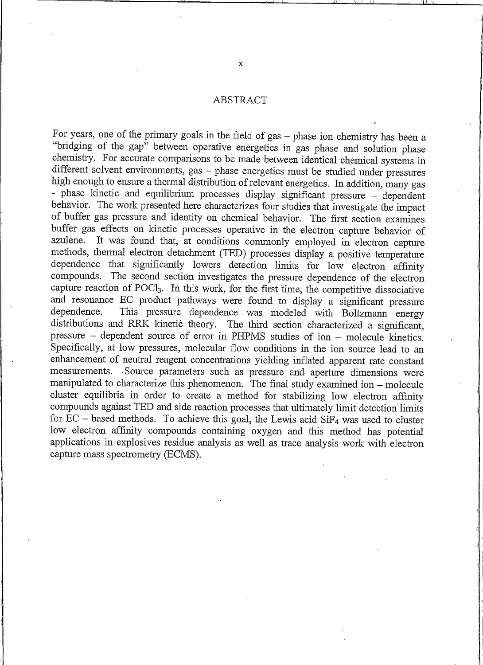#### ABSTRACT

For years, one of the primary goals in the field of gas - phase ion chemistry has been a "bridging of the gap" between operative energetics in gas phase and solution phase chemistry. For accurate comparisons to be made between identical chemical systems in different solvent environments, gas - phase energetics must be studied under pressures high enough to ensure a thermal distribution of relevant energetics. In addition, many gas - phase kinetic and equilibrium processes display significant pressure - dependent behavior. The work presented here characterizes four studies that investigate the impact of buffer gas pressure and identity on chemical behavior. The first section examines buffer gas effects on kinetic processes operative in the electron capture behavior of It was found that, at conditions commonly employed in electron capture azulene. methods, thermal electron detachment (TED) processes display a positive temperature dependence that significantly lowers detection limits for low electron affinity compounds. The second section investigates the pressure dependence of the electron capture reaction of POCl<sub>3</sub>. In this work, for the first time, the competitive dissociative and resonance EC product pathways were found to display a significant pressure This pressure dependence was modeled with Boltzmann energy dependence. distributions and RRK kinetic theory. The third section characterized a significant, pressure – dependent source of error in PHPMS studies of ion – molecule kinetics. Specifically, at low pressures, molecular flow conditions in the ion source lead to an enhancement of neutral reagent concentrations yielding inflated apparent rate constant measurements. Source parameters such as pressure and aperture dimensions were manipulated to characterize this phenomenon. The final study examined ion – molecule cluster equilibria in order to create a method for stabilizing low electron affinity compounds against TED and side reaction processes that ultimately limit detection limits for  $EC$  – based methods. To achieve this goal, the Lewis acid SiF<sub>4</sub> was used to cluster low electron affinity compounds containing oxygen and this method has potential applications in explosives residue analysis as well as trace analysis work with electron capture mass spectrometry (ECMS).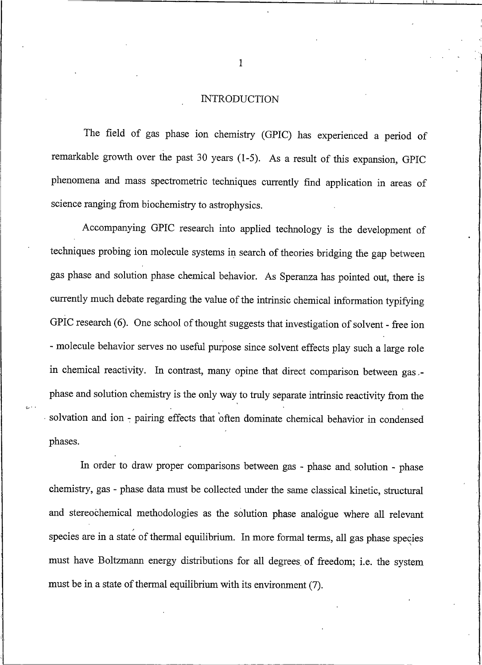#### **INTRODUCTION**

<span id="page-11-0"></span>The field of gas phase ion chemistry (GPIC) has experienced a period of remarkable growth over the past 30 years (1-5). As a result of this expansion, GPIC phenomena and mass spectrometric techniques currently find application in areas of science ranging from biochemistry to astrophysics.

Accompanying GPIC research into applied technology is the development of techniques probing ion molecule systems in search of theories bridging the gap between gas phase and solution phase chemical behavior. As Speranza has pointed out, there is currently much debate regarding the value of the intrinsic chemical information typifying GPIC research (6). One school of thought suggests that investigation of solvent - free ion - molecule behavior serves no useful purpose since solvent effects play such a large role in chemical reactivity. In contrast, many opine that direct comparison between gas .phase and solution chemistry is the only way to truly separate intrinsic reactivity from the solvation and ion - pairing effects that often dominate chemical behavior in condensed phases.

In order to draw proper comparisons between gas - phase and solution - phase chemistry, gas - phase data must be collected under the same classical kinetic, structural and stereochemical methodologies as the solution phase analogue where all relevant species are in a state of thermal equilibrium. In more formal terms, all gas phase species must have Boltzmann energy distributions for all degrees of freedom; i.e. the system must be in a state of thermal equilibrium with its environment (7).

 $\mathbf{1}$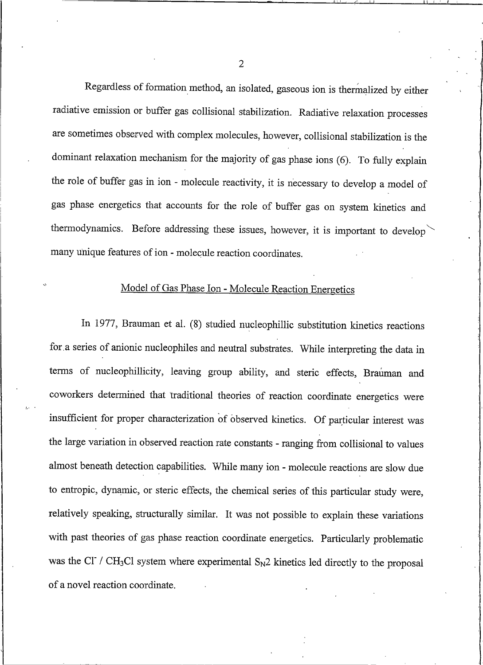Regardless of formation method, an isolated, gaseous ion is thermalized by either radiative emission or buffer gas collisional stabilization. Radiative relaxation processes are sometimes observed with complex molecules, however, collisional stabilization is the dominant relaxation mechanism for the majority of gas phase ions (6). To fully explain the role of buffer gas in ion - molecule reactivity, it is necessary to develop a model of gas phase energetics that accounts for the role of buffer gas on system kinetics and thermodynamics. Before addressing these issues, however, it is important to develop many unique features of ion - molecule reaction coordinates.

## Model of Gas Phase Ion - Molecule Reaction Energetics

In 1977, Brauman et al. (8) studied nucleophillic substitution kinetics reactions for a series of anionic nucleophiles and neutral substrates. While interpreting the data in terms of nucleophillicity, leaving group ability, and steric effects, Brauman and coworkers determined that traditional theories of reaction coordinate energetics were insufficient for proper characterization of observed kinetics. Of particular interest was the large variation in observed reaction rate constants - ranging from collisional to values almost beneath detection capabilities. While many ion - molecule reactions are slow due to entropic, dynamic, or steric effects, the chemical series of this particular study were, relatively speaking, structurally similar. It was not possible to explain these variations with past theories of gas phase reaction coordinate energetics. Particularly problematic was the Cl / CH<sub>3</sub>Cl system where experimental  $S_N2$  kinetics led directly to the proposal of a novel reaction coordinate.

 $\overline{2}$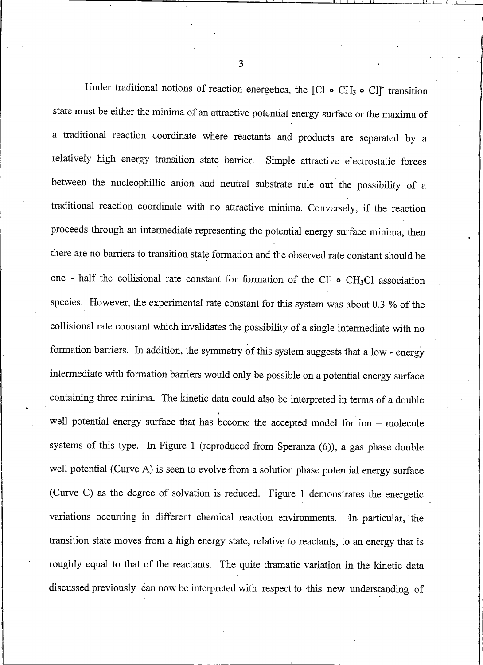Under traditional notions of reaction energetics, the [Cl  $\circ$  CH<sub>3</sub>  $\circ$  Cl] transition state must be either the minima of an attractive potential energy surface or the maxima of a traditional reaction coordinate where reactants and products are separated by a relatively high energy transition state barrier. Simple attractive electrostatic forces between the nucleophillic anion and neutral substrate rule out the possibility of a traditional reaction coordinate with no attractive minima. Conversely, if the reaction proceeds through an intermediate representing the potential energy surface minima, then there are no barriers to transition state formation and the observed rate constant should be one - half the collisional rate constant for formation of the CI  $\circ$  CH<sub>3</sub>Cl association species. However, the experimental rate constant for this system was about 0.3 % of the collisional rate constant which invalidates the possibility of a single intermediate with no formation barriers. In addition, the symmetry of this system suggests that a low - energy intermediate with formation barriers would only be possible on a potential energy surface containing three minima. The kinetic data could also be interpreted in terms of a double well potential energy surface that has become the accepted model for ion - molecule systems of this type. In Figure 1 (reproduced from Speranza (6)), a gas phase double well potential (Curve A) is seen to evolve from a solution phase potential energy surface (Curve C) as the degree of solvation is reduced. Figure 1 demonstrates the energetic variations occurring in different chemical reaction environments. In particular, the transition state moves from a high energy state, relative to reactants, to an energy that is roughly equal to that of the reactants. The quite dramatic variation in the kinetic data discussed previously can now be interpreted with respect to this new understanding of

 $\overline{3}$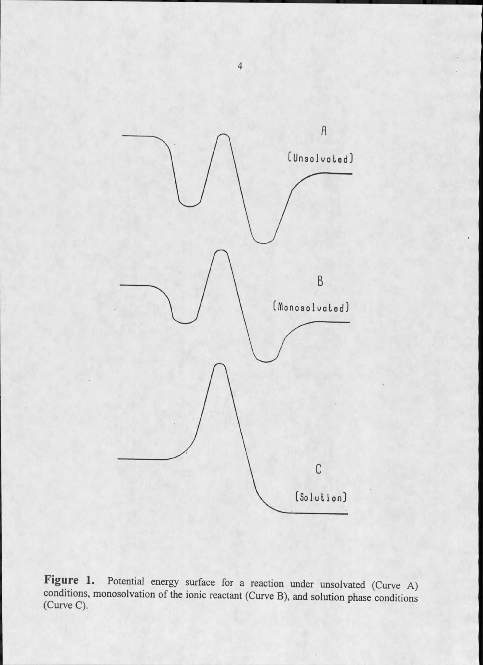

Figure 1. Potential energy surface for a reaction under unsolvated (Curve A) conditions, monosolvation of the ionic reactant (Curve B), and solution phase conditions (Curve C).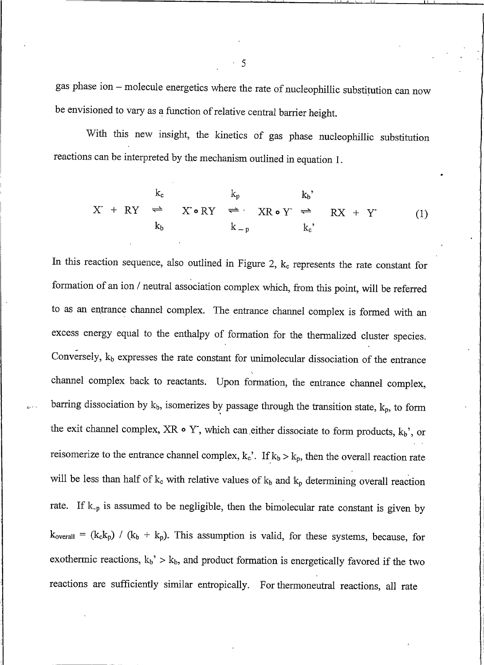gas phase ion - molecule energetics where the rate of nucleophillic substitution can now be envisioned to vary as a function of relative central barrier height.

With this new insight, the kinetics of gas phase nucleophillic substitution reactions can be interpreted by the mechanism outlined in equation 1.

$$
X + RY \stackrel{k_c}{\iff} X \cdot \bullet RY \stackrel{k_p}{\iff} XR \cdot Y \stackrel{k_b}{\iff} RX + Y
$$
  
\n
$$
k_b \qquad k_{-p} \qquad k_c
$$
, (1)

In this reaction sequence, also outlined in Figure 2,  $k_c$  represents the rate constant for formation of an ion / neutral association complex which, from this point, will be referred to as an entrance channel complex. The entrance channel complex is formed with an excess energy equal to the enthalpy of formation for the thermalized cluster species. Conversely,  $k_b$  expresses the rate constant for unimolecular dissociation of the entrance channel complex back to reactants. Upon formation, the entrance channel complex, barring dissociation by  $k_b$ , isomerizes by passage through the transition state,  $k_p$ , to form the exit channel complex, XR  $\circ$  Y, which can either dissociate to form products,  $k_b$ ', or reisomerize to the entrance channel complex,  $k_c$ <sup>'</sup>. If  $k_b > k_p$ , then the overall reaction rate will be less than half of  $k_c$  with relative values of  $k_b$  and  $k_p$  determining overall reaction rate. If  $k_{-p}$  is assumed to be negligible, then the bimolecular rate constant is given by  $k_{\text{overall}} = (k_c k_p) / (k_b + k_p)$ . This assumption is valid, for these systems, because, for exothermic reactions,  $k_b$ ' >  $k_b$ , and product formation is energetically favored if the two reactions are sufficiently similar entropically. For thermoneutral reactions, all rate

5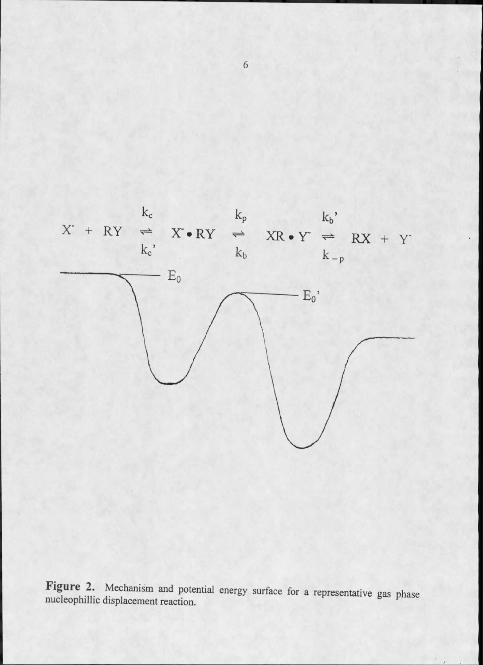

Figure 2. Mechanism and potential energy surface for a representative gas phase nucleophillic displacement reaction.

 $6\,$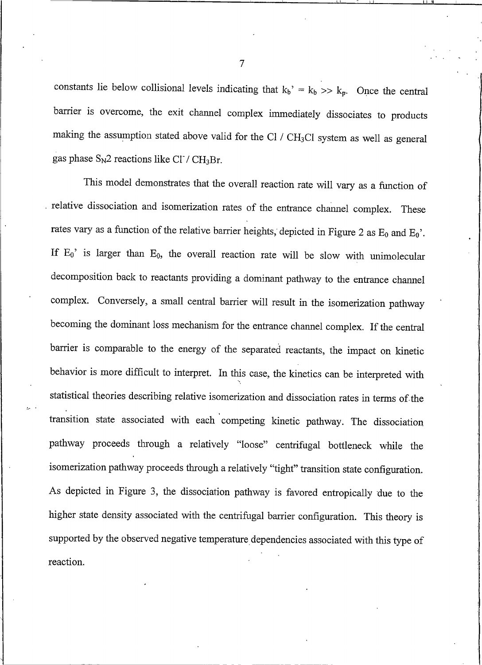constants lie below collisional levels indicating that  $k_b$ <sup>2</sup> =  $k_b$  >>  $k_p$ . Once the central barrier is overcome, the exit channel complex immediately dissociates to products making the assumption stated above valid for the Cl / CH<sub>3</sub>Cl system as well as general gas phase  $S_N2$  reactions like Cl / CH<sub>3</sub>Br.

This model demonstrates that the overall reaction rate will vary as a function of relative dissociation and isomerization rates of the entrance channel complex. These rates vary as a function of the relative barrier heights, depicted in Figure 2 as  $E_0$  and  $E_0$ . If  $E_0$ ' is larger than  $E_0$ , the overall reaction rate will be slow with unimolecular decomposition back to reactants providing a dominant pathway to the entrance channel complex. Conversely, a small central barrier will result in the isomerization pathway becoming the dominant loss mechanism for the entrance channel complex. If the central barrier is comparable to the energy of the separated reactants, the impact on kinetic behavior is more difficult to interpret. In this case, the kinetics can be interpreted with statistical theories describing relative isomerization and dissociation rates in terms of the transition state associated with each competing kinetic pathway. The dissociation pathway proceeds through a relatively "loose" centrifugal bottleneck while the isomerization pathway proceeds through a relatively "tight" transition state configuration. As depicted in Figure 3, the dissociation pathway is favored entropically due to the higher state density associated with the centrifugal barrier configuration. This theory is supported by the observed negative temperature dependencies associated with this type of reaction.

 $\overline{7}$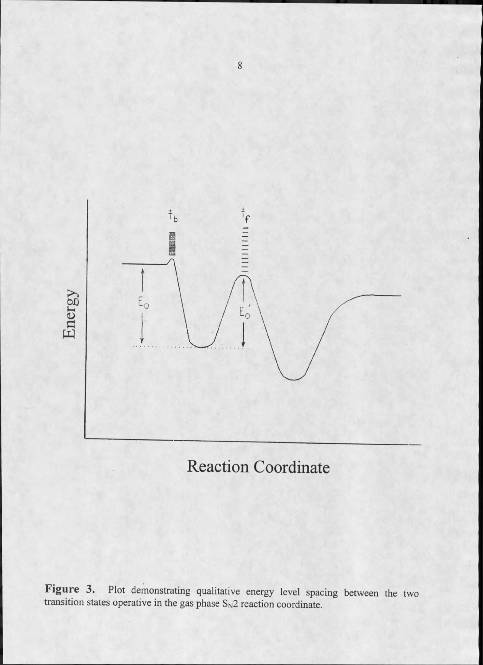

# **Reaction Coordinate**

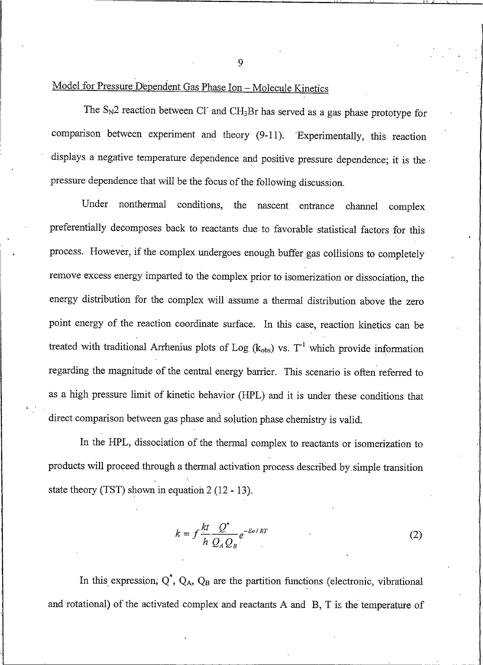9

# Model for Pressure Dependent Gas Phase Ion - Molecule Kinetics

The  $S_N2$  reaction between Cl and CH<sub>3</sub>Br has served as a gas phase prototype for comparison between experiment and theory (9-11). Experimentally, this reaction displays a negative temperature dependence and positive pressure dependence; it is the pressure dependence that will be the focus of the following discussion.

nonthermal conditions, Under the nascent entrance channel complex preferentially decomposes back to reactants due to favorable statistical factors for this process. However, if the complex undergoes enough buffer gas collisions to completely remove excess energy imparted to the complex prior to isomerization or dissociation, the energy distribution for the complex will assume a thermal distribution above the zero point energy of the reaction coordinate surface. In this case, reaction kinetics can be treated with traditional Arrhenius plots of Log ( $k_{obs}$ ) vs.  $T^{-1}$  which provide information regarding the magnitude of the central energy barrier. This scenario is often referred to as a high pressure limit of kinetic behavior (HPL) and it is under these conditions that direct comparison between gas phase and solution phase chemistry is valid.

In the HPL, dissociation of the thermal complex to reactants or isomerization to products will proceed through a thermal activation process described by simple transition state theory (TST) shown in equation  $2(12 - 13)$ .

$$
k = f \frac{kt}{h} \frac{Q^*}{Q_A Q_B} e^{-E_0 / RT}
$$
 (2)

In this expression,  $Q^*$ ,  $Q_A$ ,  $Q_B$  are the partition functions (electronic, vibrational and rotational) of the activated complex and reactants A and B, T is the temperature of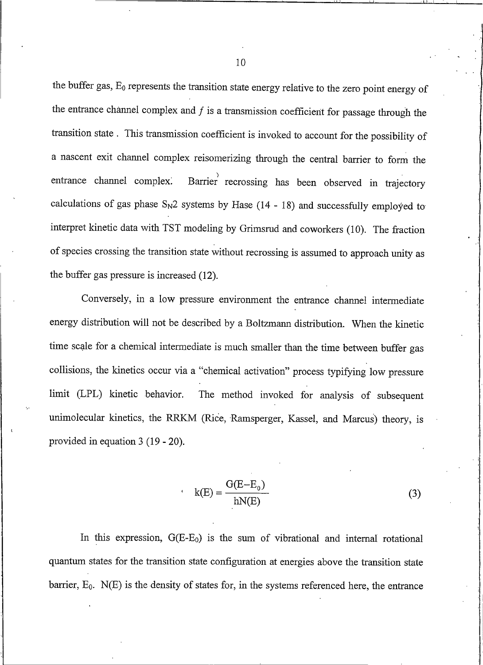the buffer gas,  $E_0$  represents the transition state energy relative to the zero point energy of the entrance channel complex and  $f$  is a transmission coefficient for passage through the transition state. This transmission coefficient is invoked to account for the possibility of a nascent exit channel complex reisomerizing through the central barrier to form the Barrier recrossing has been observed in trajectory entrance channel complex. calculations of gas phase  $S_N2$  systems by Hase (14 - 18) and successfully employed to interpret kinetic data with TST modeling by Grimsrud and coworkers (10). The fraction of species crossing the transition state without recrossing is assumed to approach unity as the buffer gas pressure is increased (12).

Conversely, in a low pressure environment the entrance channel intermediate energy distribution will not be described by a Boltzmann distribution. When the kinetic time scale for a chemical intermediate is much smaller than the time between buffer gas collisions, the kinetics occur via a "chemical activation" process typifying low pressure The method invoked for analysis of subsequent limit (LPL) kinetic behavior. unimolecular kinetics, the RRKM (Rice, Ramsperger, Kassel, and Marcus) theory, is provided in equation  $3(19 - 20)$ .

$$
k(E) = \frac{G(E - E_0)}{hN(E)}
$$
 (3)

In this expression,  $G(E-E_0)$  is the sum of vibrational and internal rotational quantum states for the transition state configuration at energies above the transition state barrier,  $E_0$ .  $N(E)$  is the density of states for, in the systems referenced here, the entrance

10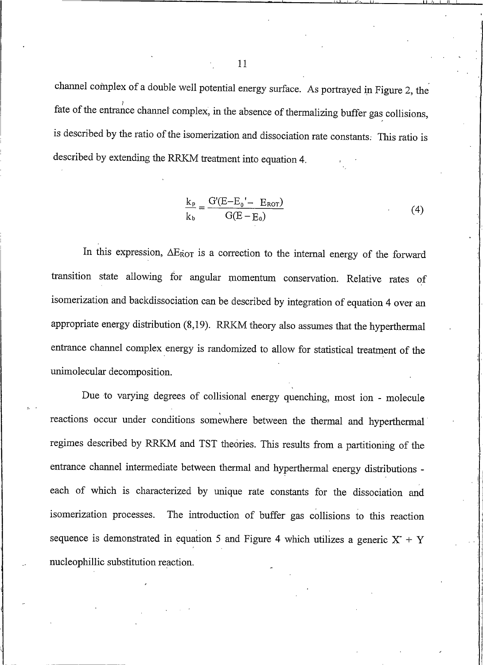channel complex of a double well potential energy surface. As portrayed in Figure 2, the fate of the entrance channel complex, in the absence of thermalizing buffer gas collisions, is described by the ratio of the isomerization and dissociation rate constants. This ratio is described by extending the RRKM treatment into equation 4.

$$
\frac{k_{p}}{k_{b}} = \frac{G'(E - E_{0}' - E_{ROT})}{G(E - E_{0})}
$$
\n(4)

In this expression,  $\Delta E_{\text{ROT}}$  is a correction to the internal energy of the forward transition state allowing for angular momentum conservation. Relative rates of isomerization and backdissociation can be described by integration of equation 4 over an appropriate energy distribution (8,19). RRKM theory also assumes that the hyperthermal entrance channel complex energy is randomized to allow for statistical treatment of the unimolecular decomposition.

Due to varying degrees of collisional energy quenching, most ion - molecule reactions occur under conditions somewhere between the thermal and hyperthermal regimes described by RRKM and TST theories. This results from a partitioning of the entrance channel intermediate between thermal and hyperthermal energy distributions each of which is characterized by unique rate constants for the dissociation and The introduction of buffer gas collisions to this reaction isomerization processes. sequence is demonstrated in equation 5 and Figure 4 which utilizes a generic  $X + Y$ nucleophillic substitution reaction.

11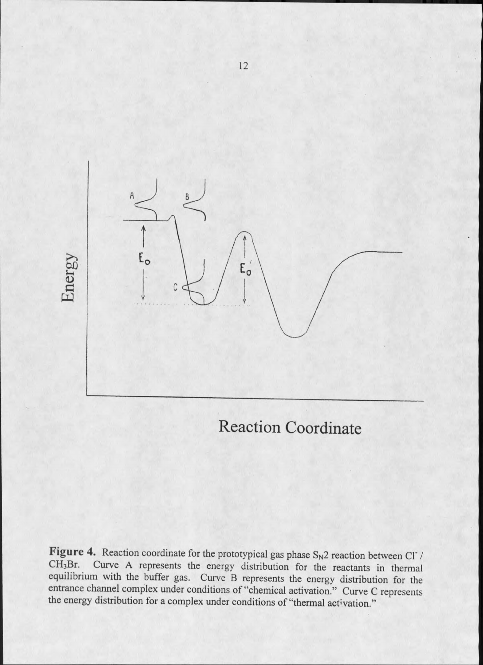

**Reaction Coordinate** 

Figure 4. Reaction coordinate for the prototypical gas phase  $S_N2$  reaction between Cl / Curve A represents the energy distribution for the reactants in thermal  $CH<sub>3</sub>Br.$ equilibrium with the buffer gas. Curve B represents the energy distribution for the entrance channel complex under conditions of "chemical activation." Curve C represents the energy distribution for a complex under conditions of "thermal activation."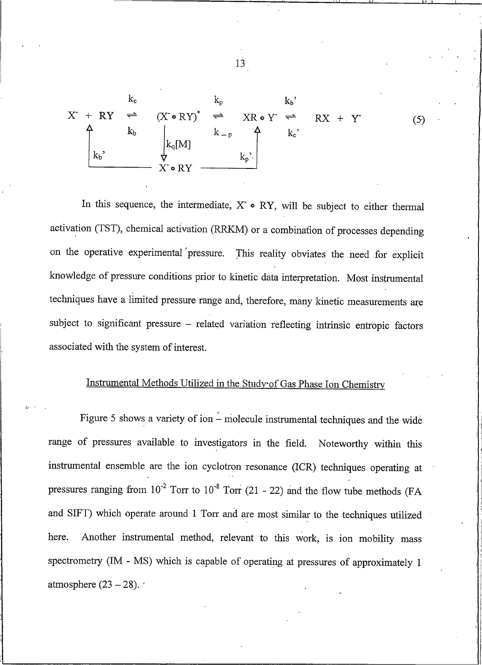$$
X^{+} R Y \stackrel{k_c}{\rightleftharpoons} (X^{\bullet} R Y)^* \stackrel{k_p}{\rightleftharpoons} X R \bullet Y^{-} \stackrel{k_b}{\rightleftharpoons} R X + Y
$$
\n
$$
\begin{pmatrix}\n k_b & k_b \\
k_b & k_c \\
k_b & \frac{1}{2} k_q[M] & k_p \\
X^{\bullet} R Y & \frac{k_p}{2}\n\end{pmatrix}
$$
\n
$$
(5)
$$

In this sequence, the intermediate,  $X \circ RY$ , will be subject to either thermal activation (TST), chemical activation (RRKM) or a combination of processes depending on the operative experimental pressure. This reality obviates the need for explicit knowledge of pressure conditions prior to kinetic data interpretation. Most instrumental techniques have a limited pressure range and, therefore, many kinetic measurements are subject to significant pressure - related variation reflecting intrinsic entropic factors associated with the system of interest.

## Instrumental Methods Utilized in the Study of Gas Phase Ion Chemistry

Figure 5 shows a variety of ion  $\frac{1}{x}$  molecule instrumental techniques and the wide range of pressures available to investigators in the field. Noteworthy within this instrumental ensemble are the ion cyclotron resonance (ICR) techniques operating at pressures ranging from  $10^{-2}$  Torr to  $10^{-8}$  Torr (21 - 22) and the flow tube methods (FA and SIFT) which operate around 1 Torr and are most similar to the techniques utilized Another instrumental method, relevant to this work, is ion mobility mass here. spectrometry (IM - MS) which is capable of operating at pressures of approximately 1 atmosphere  $(23 - 28)$ .

13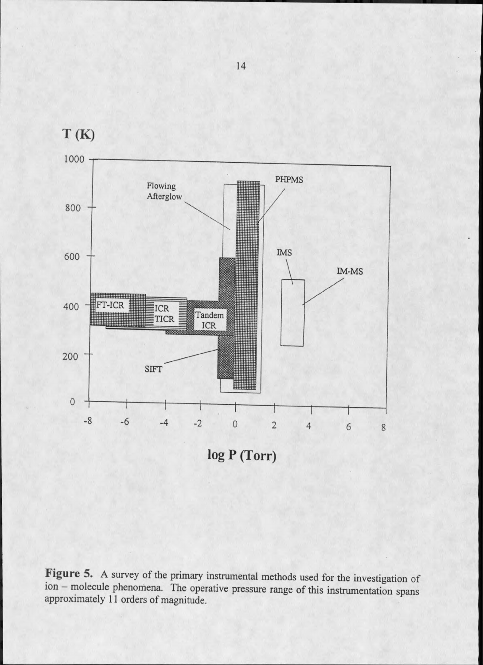

Figure 5. A survey of the primary instrumental methods used for the investigation of ion - molecule phenomena. The operative pressure range of this instrumentation spans approximately 11 orders of magnitude.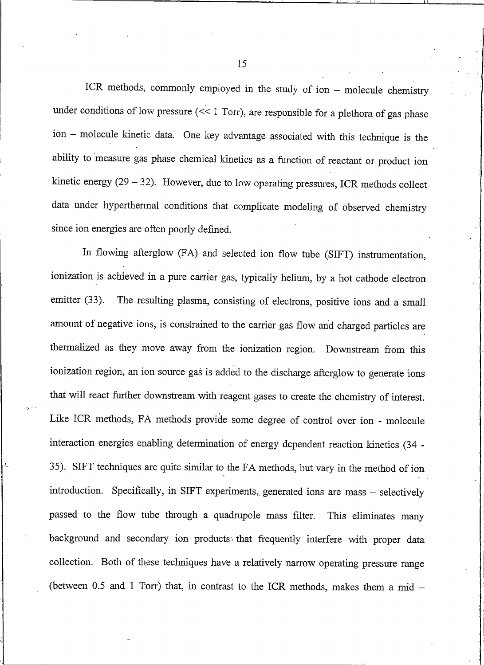ICR methods, commonly employed in the study of ion - molecule chemistry under conditions of low pressure  $(\leq 1$  Torr), are responsible for a plethora of gas phase ion - molecule kinetic data. One key advantage associated with this technique is the ability to measure gas phase chemical kinetics as a function of reactant or product ion kinetic energy  $(29 - 32)$ . However, due to low operating pressures, ICR methods collect data under hyperthermal conditions that complicate modeling of observed chemistry since ion energies are often poorly defined.

In flowing afterglow (FA) and selected ion flow tube (SIFT) instrumentation, ionization is achieved in a pure carrier gas, typically helium, by a hot cathode electron The resulting plasma, consisting of electrons, positive ions and a small emitter  $(33)$ . amount of negative ions, is constrained to the carrier gas flow and charged particles are thermalized as they move away from the ionization region. Downstream from this ionization region, an ion source gas is added to the discharge afterglow to generate ions that will react further downstream with reagent gases to create the chemistry of interest. Like ICR methods, FA methods provide some degree of control over ion - molecule interaction energies enabling determination of energy dependent reaction kinetics (34 -35). SIFT techniques are quite similar to the FA methods, but vary in the method of ion introduction. Specifically, in SIFT experiments, generated ions are mass - selectively passed to the flow tube through a quadrupole mass filter. This eliminates many background and secondary ion products that frequently interfere with proper data collection. Both of these techniques have a relatively narrow operating pressure range (between 0.5 and 1 Torr) that, in contrast to the ICR methods, makes them a mid -

15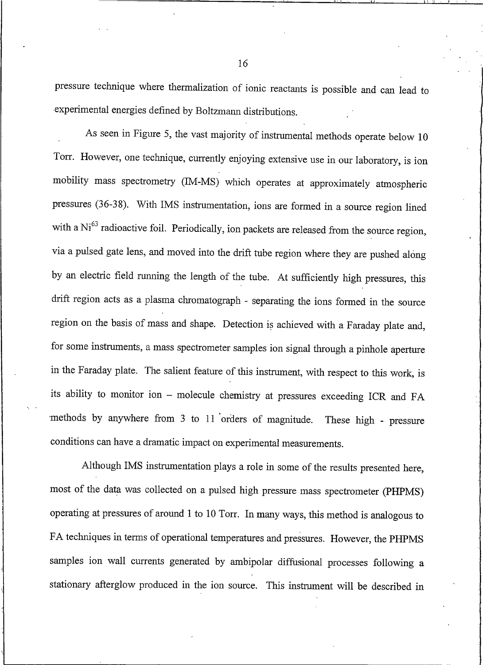pressure technique where thermalization of ionic reactants is possible and can lead to experimental energies defined by Boltzmann distributions.

As seen in Figure 5, the vast majority of instrumental methods operate below  $10$ Torr. However, one technique, currently enjoying extensive use in our laboratory, is ion mobility mass spectrometry (IM-MS) which operates at approximately atmospheric pressures (36-38). With IMS instrumentation, ions are formed in a source region lined with a Ni<sup>63</sup> radioactive foil. Periodically, ion packets are released from the source region, via a pulsed gate lens, and moved into the drift tube region where they are pushed along by an electric field running the length of the tube. At sufficiently high pressures, this drift region acts as a plasma chromatograph - separating the ions formed in the source region on the basis of mass and shape. Detection is achieved with a Faraday plate and, for some instruments, a mass spectrometer samples ion signal through a pinhole aperture in the Faraday plate. The salient feature of this instrument, with respect to this work, is its ability to monitor ion - molecule chemistry at pressures exceeding ICR and FA methods by anywhere from 3 to 11 orders of magnitude. These high - pressure conditions can have a dramatic impact on experimental measurements.

Although IMS instrumentation plays a role in some of the results presented here. most of the data was collected on a pulsed high pressure mass spectrometer (PHPMS) operating at pressures of around 1 to 10 Torr. In many ways, this method is analogous to FA techniques in terms of operational temperatures and pressures. However, the PHPMS samples ion wall currents generated by ambipolar diffusional processes following a stationary afterglow produced in the ion source. This instrument will be described in